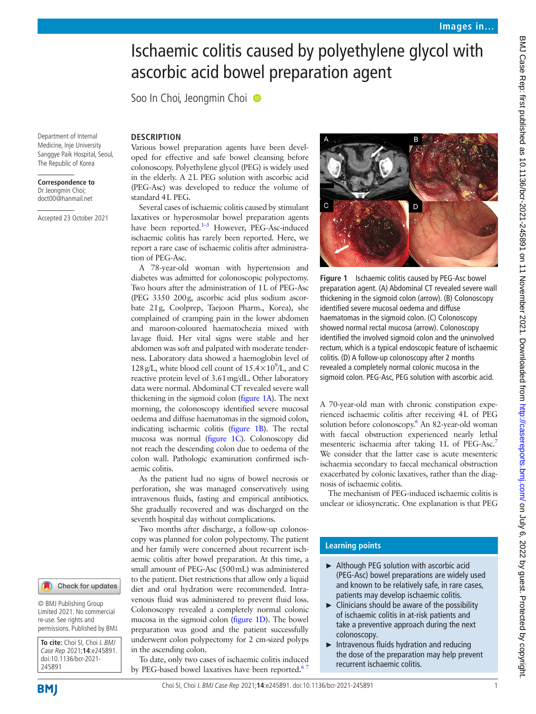# Ischaemic colitis caused by polyethylene glycol with ascorbic acid bowel preparation agent

Soo In Choi, Jeongmin Choi <sup>®</sup>

**DESCRIPTION**

Department of Internal Medicine, Inje University Sanggye Paik Hospital, Seoul, The Republic of Korea

**Correspondence to** Dr Jeongmin Choi; doct00@hanmail.net

Accepted 23 October 2021

Various bowel preparation agents have been developed for effective and safe bowel cleansing before colonoscopy. Polyethylene glycol (PEG) is widely used in the elderly. A 2L PEG solution with ascorbic acid (PEG-Asc) was developed to reduce the volume of standard 4L PEG.

Several cases of ischaemic colitis caused by stimulant laxatives or hyperosmolar bowel preparation agents have been reported.<sup>1-5</sup> However, PEG-Asc-induced ischaemic colitis has rarely been reported. Here, we report a rare case of ischaemic colitis after administration of PEG-Asc.

A 78-year-old woman with hypertension and diabetes was admitted for colonoscopic polypectomy. Two hours after the administration of 1L of PEG-Asc (PEG 3350 200g, ascorbic acid plus sodium ascorbate 21g, Coolprep, Taejoon Pharm., Korea), she complained of cramping pain in the lower abdomen and maroon-coloured haematochezia mixed with lavage fluid. Her vital signs were stable and her abdomen was soft and palpated with moderate tenderness. Laboratory data showed a haemoglobin level of 128 g/L, white blood cell count of  $15.4 \times 10^9$ /L, and C reactive protein level of 3.61mg/dL. Other laboratory data were normal. Abdominal CT revealed severe wall thickening in the sigmoid colon ([figure](#page-0-0) 1A). The next morning, the colonoscopy identified severe mucosal oedema and diffuse haematomas in the sigmoid colon, indicating ischaemic colitis [\(figure](#page-0-0) 1B). The rectal mucosa was normal ([figure](#page-0-0) 1C). Colonoscopy did not reach the descending colon due to oedema of the colon wall. Pathologic examination confirmed ischaemic colitis.

As the patient had no signs of bowel necrosis or perforation, she was managed conservatively using intravenous fluids, fasting and empirical antibiotics. She gradually recovered and was discharged on the seventh hospital day without complications.

Two months after discharge, a follow-up colonoscopy was planned for colon polypectomy. The patient and her family were concerned about recurrent ischaemic colitis after bowel preparation. At this time, a small amount of PEG-Asc (500mL) was administered to the patient. Diet restrictions that allow only a liquid diet and oral hydration were recommended. Intravenous fluid was administered to prevent fluid loss. Colonoscopy revealed a completely normal colonic mucosa in the sigmoid colon [\(figure](#page-0-0) 1D). The bowel preparation was good and the patient successfully underwent colon polypectomy for 2 cm-sized polyps in the ascending colon.

To date, only two cases of ischaemic colitis induced by PEG-based bowel laxatives have been reported.<sup>6</sup>



<span id="page-0-0"></span>**Figure 1** Ischaemic colitis caused by PEG-Asc bowel preparation agent. (A) Abdominal CT revealed severe wall thickening in the sigmoid colon (arrow). (B) Colonoscopy identified severe mucosal oedema and diffuse haematomas in the sigmoid colon. (C) Colonoscopy showed normal rectal mucosa (arrow). Colonoscopy identified the involved sigmoid colon and the uninvolved rectum, which is a typical endoscopic feature of ischaemic colitis. (D) A follow-up colonoscopy after 2 months revealed a completely normal colonic mucosa in the sigmoid colon. PEG-Asc, PEG solution with ascorbic acid.

A 70-year-old man with chronic constipation experienced ischaemic colitis after receiving 4L of PEG solution before colonoscopy.<sup>6</sup> An 82-year-old woman with faecal obstruction experienced nearly lethal mesenteric ischaemia after taking 1L of PEG-Asc.<sup>7</sup> We consider that the latter case is acute mesenteric ischaemia secondary to faecal mechanical obstruction exacerbated by colonic laxatives, rather than the diagnosis of ischaemic colitis.

The mechanism of PEG-induced ischaemic colitis is unclear or idiosyncratic. One explanation is that PEG

## **Learning points**

- ► Although PEG solution with ascorbic acid (PEG-Asc) bowel preparations are widely used and known to be relatively safe, in rare cases, patients may develop ischaemic colitis.
- $\blacktriangleright$  Clinicians should be aware of the possibility of ischaemic colitis in at-risk patients and take a preventive approach during the next colonoscopy.
- ► Intravenous fluids hydration and reducing the dose of the preparation may help prevent recurrent ischaemic colitis.

245891

**To cite:** Choi SI, Choi J. BMJ Case Rep 2021;**14**:e245891. doi:10.1136/bcr-2021-

Check for updates

© BMJ Publishing Group Limited 2021. No commercial re-use. See rights and permissions. Published by BMJ.